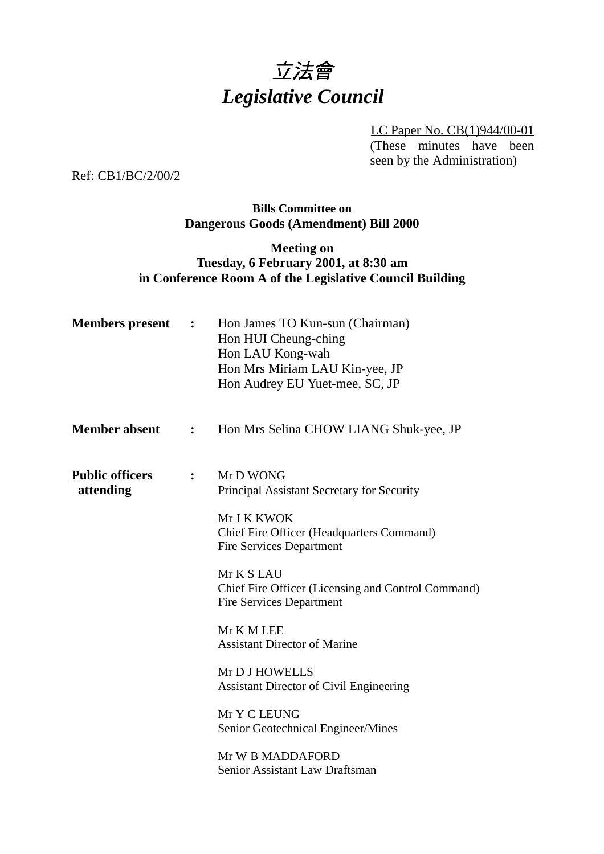# 立法會 *Legislative Council*

LC Paper No. CB(1)944/00-01 (These minutes have been seen by the Administration)

Ref: CB1/BC/2/00/2

## **Bills Committee on Dangerous Goods (Amendment) Bill 2000**

## **Meeting on Tuesday, 6 February 2001, at 8:30 am in Conference Room A of the Legislative Council Building**

| <b>Members</b> present              | $\ddot{\phantom{1}}$ | Hon James TO Kun-sun (Chairman)<br>Hon HUI Cheung-ching<br>Hon LAU Kong-wah<br>Hon Mrs Miriam LAU Kin-yee, JP<br>Hon Audrey EU Yuet-mee, SC, JP |
|-------------------------------------|----------------------|-------------------------------------------------------------------------------------------------------------------------------------------------|
| <b>Member absent</b>                | $\mathbf{L}$         | Hon Mrs Selina CHOW LIANG Shuk-yee, JP                                                                                                          |
| <b>Public officers</b><br>attending | $\ddot{\cdot}$       | Mr D WONG<br>Principal Assistant Secretary for Security                                                                                         |
|                                     |                      | Mr J K KWOK<br><b>Chief Fire Officer (Headquarters Command)</b><br><b>Fire Services Department</b>                                              |
|                                     |                      | Mr K S LAU<br>Chief Fire Officer (Licensing and Control Command)<br><b>Fire Services Department</b>                                             |
|                                     |                      | Mr K M LEE<br><b>Assistant Director of Marine</b>                                                                                               |
|                                     |                      | Mr D J HOWELLS<br><b>Assistant Director of Civil Engineering</b>                                                                                |
|                                     |                      | Mr Y C LEUNG<br>Senior Geotechnical Engineer/Mines                                                                                              |
|                                     |                      | Mr W B MADDAFORD<br>Senior Assistant Law Draftsman                                                                                              |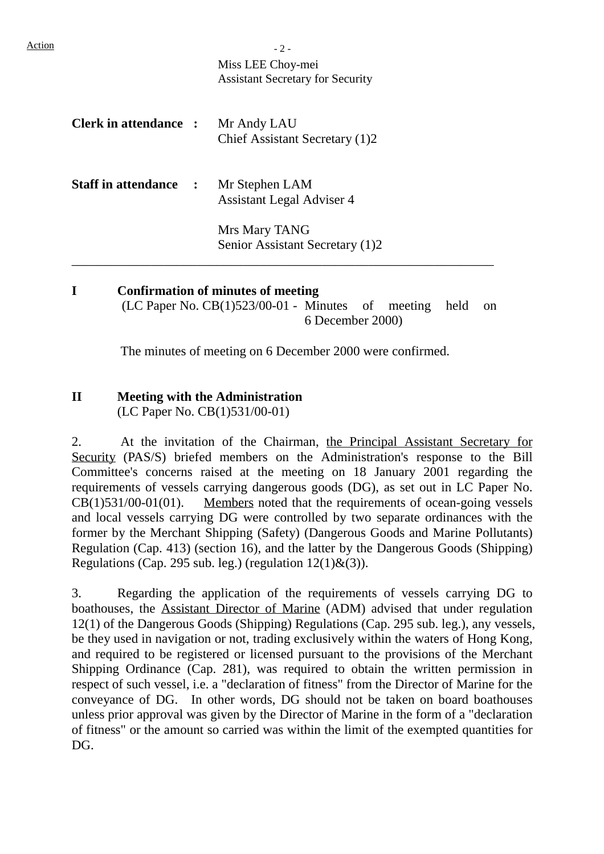Action 2 -Miss LEE Choy-mei Assistant Secretary for Security **Clerk in attendance :** Mr Andy LAU Chief Assistant Secretary (1)2 **Staff in attendance :** Mr Stephen LAM Assistant Legal Adviser 4 Mrs Mary TANG Senior Assistant Secretary (1)2 \_\_\_\_\_\_\_\_\_\_\_\_\_\_\_\_\_\_\_\_\_\_\_\_\_\_\_\_\_\_\_\_\_\_\_\_\_\_\_\_\_\_\_\_\_\_\_\_\_\_\_\_\_\_\_\_\_\_\_\_\_\_\_\_

**I Confirmation of minutes of meeting** (LC Paper No. CB(1)523/00-01 - Minutes of meeting held on 6 December 2000)

The minutes of meeting on 6 December 2000 were confirmed.

# **II Meeting with the Administration**

(LC Paper No. CB(1)531/00-01)

2. At the invitation of the Chairman, the Principal Assistant Secretary for Security (PAS/S) briefed members on the Administration's response to the Bill Committee's concerns raised at the meeting on 18 January 2001 regarding the requirements of vessels carrying dangerous goods (DG), as set out in LC Paper No.  $CB(1)531/00-01(01)$ . Members noted that the requirements of ocean-going vessels and local vessels carrying DG were controlled by two separate ordinances with the former by the Merchant Shipping (Safety) (Dangerous Goods and Marine Pollutants) Regulation (Cap. 413) (section 16), and the latter by the Dangerous Goods (Shipping) Regulations (Cap. 295 sub. leg.) (regulation  $12(1) \& (3)$ ).

3. Regarding the application of the requirements of vessels carrying DG to boathouses, the Assistant Director of Marine (ADM) advised that under regulation 12(1) of the Dangerous Goods (Shipping) Regulations (Cap. 295 sub. leg.), any vessels, be they used in navigation or not, trading exclusively within the waters of Hong Kong, and required to be registered or licensed pursuant to the provisions of the Merchant Shipping Ordinance (Cap. 281), was required to obtain the written permission in respect of such vessel, i.e. a "declaration of fitness" from the Director of Marine for the conveyance of DG. In other words, DG should not be taken on board boathouses unless prior approval was given by the Director of Marine in the form of a "declaration of fitness" or the amount so carried was within the limit of the exempted quantities for DG.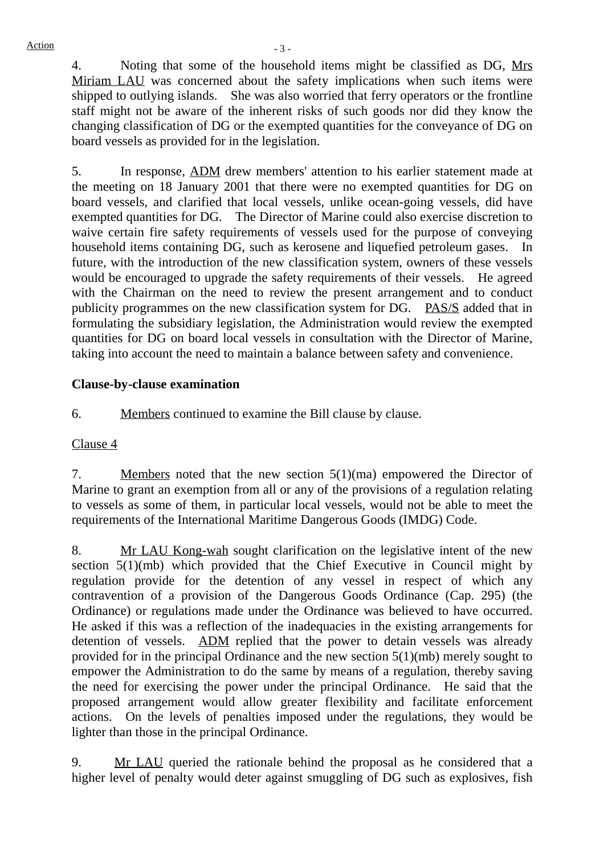4. Noting that some of the household items might be classified as DG, Mrs Miriam LAU was concerned about the safety implications when such items were shipped to outlying islands. She was also worried that ferry operators or the frontline staff might not be aware of the inherent risks of such goods nor did they know the changing classification of DG or the exempted quantities for the conveyance of DG on board vessels as provided for in the legislation.

5. In response, ADM drew members' attention to his earlier statement made at the meeting on 18 January 2001 that there were no exempted quantities for DG on board vessels, and clarified that local vessels, unlike ocean-going vessels, did have exempted quantities for DG. The Director of Marine could also exercise discretion to waive certain fire safety requirements of vessels used for the purpose of conveying household items containing DG, such as kerosene and liquefied petroleum gases. In future, with the introduction of the new classification system, owners of these vessels would be encouraged to upgrade the safety requirements of their vessels. He agreed with the Chairman on the need to review the present arrangement and to conduct publicity programmes on the new classification system for DG. PAS/S added that in formulating the subsidiary legislation, the Administration would review the exempted quantities for DG on board local vessels in consultation with the Director of Marine, taking into account the need to maintain a balance between safety and convenience.

## **Clause-by-clause examination**

6. Members continued to examine the Bill clause by clause.

#### Clause 4

7. Members noted that the new section  $5(1)(ma)$  empowered the Director of Marine to grant an exemption from all or any of the provisions of a regulation relating to vessels as some of them, in particular local vessels, would not be able to meet the requirements of the International Maritime Dangerous Goods (IMDG) Code.

8. Mr LAU Kong-wah sought clarification on the legislative intent of the new section 5(1)(mb) which provided that the Chief Executive in Council might by regulation provide for the detention of any vessel in respect of which any contravention of a provision of the Dangerous Goods Ordinance (Cap. 295) (the Ordinance) or regulations made under the Ordinance was believed to have occurred. He asked if this was a reflection of the inadequacies in the existing arrangements for detention of vessels. ADM replied that the power to detain vessels was already provided for in the principal Ordinance and the new section 5(1)(mb) merely sought to empower the Administration to do the same by means of a regulation, thereby saving the need for exercising the power under the principal Ordinance. He said that the proposed arrangement would allow greater flexibility and facilitate enforcement actions. On the levels of penalties imposed under the regulations, they would be lighter than those in the principal Ordinance.

9. Mr LAU queried the rationale behind the proposal as he considered that a higher level of penalty would deter against smuggling of DG such as explosives, fish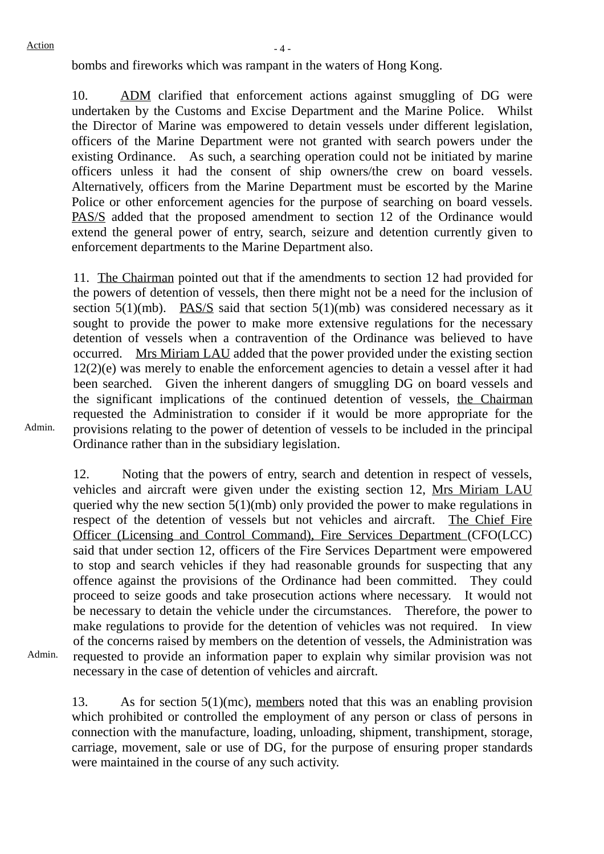bombs and fireworks which was rampant in the waters of Hong Kong.

10. ADM clarified that enforcement actions against smuggling of DG were undertaken by the Customs and Excise Department and the Marine Police. Whilst the Director of Marine was empowered to detain vessels under different legislation, officers of the Marine Department were not granted with search powers under the existing Ordinance. As such, a searching operation could not be initiated by marine officers unless it had the consent of ship owners/the crew on board vessels. Alternatively, officers from the Marine Department must be escorted by the Marine Police or other enforcement agencies for the purpose of searching on board vessels. PAS/S added that the proposed amendment to section 12 of the Ordinance would extend the general power of entry, search, seizure and detention currently given to enforcement departments to the Marine Department also.

11. The Chairman pointed out that if the amendments to section 12 had provided for the powers of detention of vessels, then there might not be a need for the inclusion of section 5(1)(mb). PAS/S said that section 5(1)(mb) was considered necessary as it sought to provide the power to make more extensive regulations for the necessary detention of vessels when a contravention of the Ordinance was believed to have occurred. Mrs Miriam LAU added that the power provided under the existing section 12(2)(e) was merely to enable the enforcement agencies to detain a vessel after it had been searched. Given the inherent dangers of smuggling DG on board vessels and the significant implications of the continued detention of vessels, the Chairman requested the Administration to consider if it would be more appropriate for the provisions relating to the power of detention of vessels to be included in the principal Ordinance rather than in the subsidiary legislation.

Admin.

12. Noting that the powers of entry, search and detention in respect of vessels, vehicles and aircraft were given under the existing section 12, Mrs Miriam LAU queried why the new section 5(1)(mb) only provided the power to make regulations in respect of the detention of vessels but not vehicles and aircraft. The Chief Fire Officer (Licensing and Control Command), Fire Services Department (CFO(LCC) said that under section 12, officers of the Fire Services Department were empowered to stop and search vehicles if they had reasonable grounds for suspecting that any offence against the provisions of the Ordinance had been committed. They could proceed to seize goods and take prosecution actions where necessary. It would not be necessary to detain the vehicle under the circumstances. Therefore, the power to make regulations to provide for the detention of vehicles was not required. In view of the concerns raised by members on the detention of vessels, the Administration was requested to provide an information paper to explain why similar provision was not necessary in the case of detention of vehicles and aircraft.

Admin.

13. As for section 5(1)(mc), members noted that this was an enabling provision which prohibited or controlled the employment of any person or class of persons in connection with the manufacture, loading, unloading, shipment, transhipment, storage, carriage, movement, sale or use of DG, for the purpose of ensuring proper standards were maintained in the course of any such activity.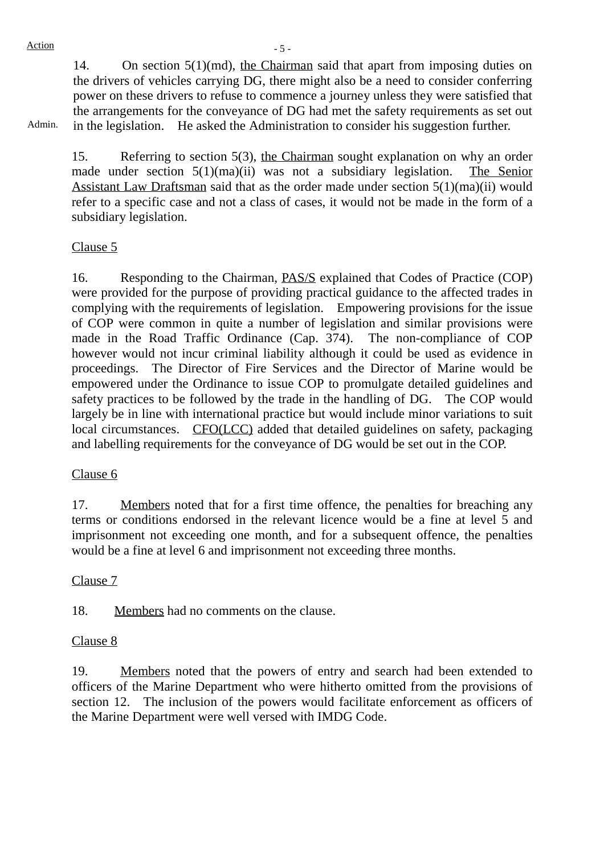14. On section 5(1)(md), the Chairman said that apart from imposing duties on the drivers of vehicles carrying DG, there might also be a need to consider conferring power on these drivers to refuse to commence a journey unless they were satisfied that the arrangements for the conveyance of DG had met the safety requirements as set out in the legislation. He asked the Administration to consider his suggestion further.

Admin.

15. Referring to section 5(3), the Chairman sought explanation on why an order made under section 5(1)(ma)(ii) was not a subsidiary legislation. The Senior Assistant Law Draftsman said that as the order made under section 5(1)(ma)(ii) would refer to a specific case and not a class of cases, it would not be made in the form of a subsidiary legislation.

## Clause 5

16. Responding to the Chairman, PAS/S explained that Codes of Practice (COP) were provided for the purpose of providing practical guidance to the affected trades in complying with the requirements of legislation. Empowering provisions for the issue of COP were common in quite a number of legislation and similar provisions were made in the Road Traffic Ordinance (Cap. 374). The non-compliance of COP however would not incur criminal liability although it could be used as evidence in proceedings. The Director of Fire Services and the Director of Marine would be empowered under the Ordinance to issue COP to promulgate detailed guidelines and safety practices to be followed by the trade in the handling of DG. The COP would largely be in line with international practice but would include minor variations to suit local circumstances. CFO(LCC) added that detailed guidelines on safety, packaging and labelling requirements for the conveyance of DG would be set out in the COP.

# Clause 6

17. Members noted that for a first time offence, the penalties for breaching any terms or conditions endorsed in the relevant licence would be a fine at level 5 and imprisonment not exceeding one month, and for a subsequent offence, the penalties would be a fine at level 6 and imprisonment not exceeding three months.

#### Clause 7

18. Members had no comments on the clause.

#### Clause 8

19. Members noted that the powers of entry and search had been extended to officers of the Marine Department who were hitherto omitted from the provisions of section 12. The inclusion of the powers would facilitate enforcement as officers of the Marine Department were well versed with IMDG Code.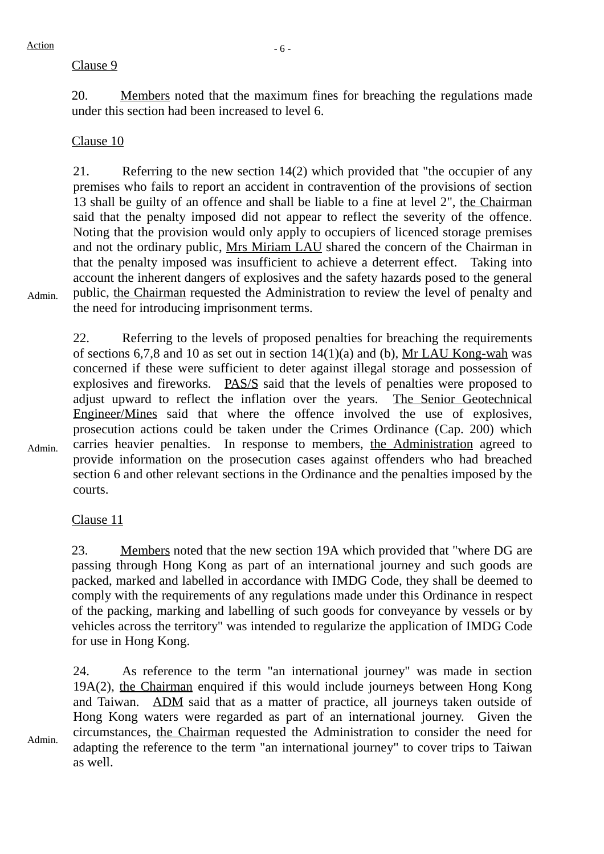Admin.

# Clause 9

20. Members noted that the maximum fines for breaching the regulations made under this section had been increased to level 6.

# Clause 10

21. Referring to the new section 14(2) which provided that "the occupier of any premises who fails to report an accident in contravention of the provisions of section 13 shall be guilty of an offence and shall be liable to a fine at level 2", the Chairman said that the penalty imposed did not appear to reflect the severity of the offence. Noting that the provision would only apply to occupiers of licenced storage premises and not the ordinary public, Mrs Miriam LAU shared the concern of the Chairman in that the penalty imposed was insufficient to achieve a deterrent effect. Taking into account the inherent dangers of explosives and the safety hazards posed to the general public, the Chairman requested the Administration to review the level of penalty and the need for introducing imprisonment terms.

Admin. 22. Referring to the levels of proposed penalties for breaching the requirements of sections 6,7,8 and 10 as set out in section 14(1)(a) and (b), Mr LAU Kong-wah was concerned if these were sufficient to deter against illegal storage and possession of explosives and fireworks. PAS/S said that the levels of penalties were proposed to adjust upward to reflect the inflation over the years. The Senior Geotechnical Engineer/Mines said that where the offence involved the use of explosives, prosecution actions could be taken under the Crimes Ordinance (Cap. 200) which carries heavier penalties. In response to members, the Administration agreed to provide information on the prosecution cases against offenders who had breached section 6 and other relevant sections in the Ordinance and the penalties imposed by the courts.

Clause 11

23. Members noted that the new section 19A which provided that "where DG are passing through Hong Kong as part of an international journey and such goods are packed, marked and labelled in accordance with IMDG Code, they shall be deemed to comply with the requirements of any regulations made under this Ordinance in respect of the packing, marking and labelling of such goods for conveyance by vessels or by vehicles across the territory" was intended to regularize the application of IMDG Code for use in Hong Kong.

24. As reference to the term "an international journey" was made in section 19A(2), the Chairman enquired if this would include journeys between Hong Kong and Taiwan. ADM said that as a matter of practice, all journeys taken outside of Hong Kong waters were regarded as part of an international journey. Given the circumstances, the Chairman requested the Administration to consider the need for adapting the reference to the term "an international journey" to cover trips to Taiwan as well.

Admin.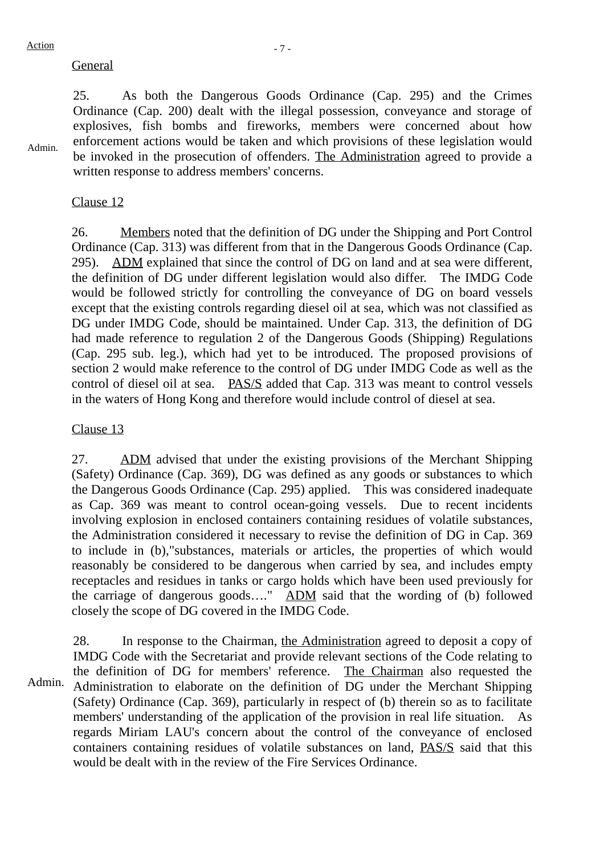# General

Admin.

25. As both the Dangerous Goods Ordinance (Cap. 295) and the Crimes Ordinance (Cap. 200) dealt with the illegal possession, conveyance and storage of explosives, fish bombs and fireworks, members were concerned about how enforcement actions would be taken and which provisions of these legislation would be invoked in the prosecution of offenders. The Administration agreed to provide a written response to address members' concerns.

# Clause 12

26. Members noted that the definition of DG under the Shipping and Port Control Ordinance (Cap. 313) was different from that in the Dangerous Goods Ordinance (Cap. 295). ADM explained that since the control of DG on land and at sea were different, the definition of DG under different legislation would also differ. The IMDG Code would be followed strictly for controlling the conveyance of DG on board vessels except that the existing controls regarding diesel oil at sea, which was not classified as DG under IMDG Code, should be maintained. Under Cap. 313, the definition of DG had made reference to regulation 2 of the Dangerous Goods (Shipping) Regulations (Cap. 295 sub. leg.), which had yet to be introduced. The proposed provisions of section 2 would make reference to the control of DG under IMDG Code as well as the control of diesel oil at sea. PAS/S added that Cap. 313 was meant to control vessels in the waters of Hong Kong and therefore would include control of diesel at sea.

# Clause 13

27. ADM advised that under the existing provisions of the Merchant Shipping (Safety) Ordinance (Cap. 369), DG was defined as any goods or substances to which the Dangerous Goods Ordinance (Cap. 295) applied. This was considered inadequate as Cap. 369 was meant to control ocean-going vessels. Due to recent incidents involving explosion in enclosed containers containing residues of volatile substances, the Administration considered it necessary to revise the definition of DG in Cap. 369 to include in (b),"substances, materials or articles, the properties of which would reasonably be considered to be dangerous when carried by sea, and includes empty receptacles and residues in tanks or cargo holds which have been used previously for the carriage of dangerous goods…." ADM said that the wording of (b) followed closely the scope of DG covered in the IMDG Code.

Admin.

28. In response to the Chairman, the Administration agreed to deposit a copy of IMDG Code with the Secretariat and provide relevant sections of the Code relating to the definition of DG for members' reference. The Chairman also requested the Administration to elaborate on the definition of DG under the Merchant Shipping (Safety) Ordinance (Cap. 369), particularly in respect of (b) therein so as to facilitate members' understanding of the application of the provision in real life situation. As regards Miriam LAU's concern about the control of the conveyance of enclosed containers containing residues of volatile substances on land, PAS/S said that this would be dealt with in the review of the Fire Services Ordinance.